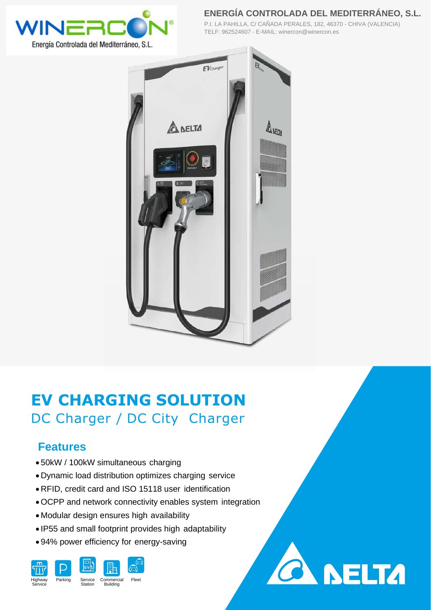

**ENERGÍA CONTROLADA DEL MEDITERRÁNEO, S.L.**

**SELTA** 

P.I. LA PAHILLA, C/ CAÑADA PERALES, 182, 46370 - CHIVA (VALENCIA) TELF: 962524607 - E-MAIL: winercon@winercon.es



# **EV CHARGING SOLUTION** DC Charger / DC City Charger

#### **Features**

- 50kW / 100kW simultaneous charging
- Dynamic load distribution optimizes charging service
- RFID, credit card and ISO 15118 user identification
- OCPP and network connectivity enables system integration
- Modular design ensures high availability
- IP55 and small footprint provides high adaptability
- 94% power efficiency for energy-saving

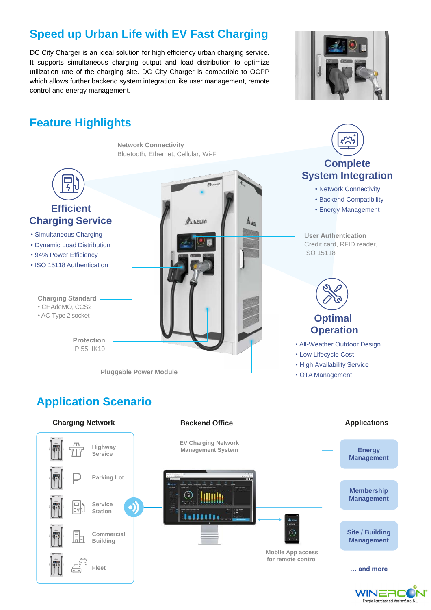### **Speed up Urban Life with EV Fast Charging**

DC City Charger is an ideal solution for high efficiency urban charging service. It supports simultaneous charging output and load distribution to optimize utilization rate of the charging site. DC City Charger is compatible to OCPP which allows further backend system integration like user management, remote control and energy management.



**Complete** 

## **Feature Highlights**

**Network Connectivity** Bluetooth, Ethernet, Cellular, Wi-Fi



 $\frac{1}{2}$ 

- Simultaneous Charging
- Dynamic Load Distribution
- 94% Power Efficiency
- ISO 15118 Authentication

**Charging Standard** • CHAdeMO, CCS2

• AC Type 2 socket

**Protection** IP 55, IK10



## **Application Scenario**





WINERO Energía Controlada del Mediterráneo